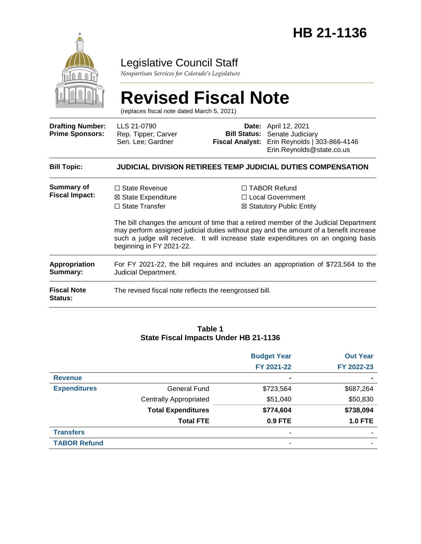

### Legislative Council Staff

*Nonpartisan Services for Colorado's Legislature*

# **Revised Fiscal Note**

(replaces fiscal note dated March 5, 2021)

| <b>Drafting Number:</b><br><b>Prime Sponsors:</b> | LLS 21-0790<br>Rep. Tipper; Carver<br>Sen. Lee; Gardner                                                     |  | <b>Date:</b> April 12, 2021<br><b>Bill Status:</b> Senate Judiciary<br>Fiscal Analyst: Erin Reynolds   303-866-4146<br>Erin.Reynolds@state.co.us                                                                                                                                                                                              |  |  |
|---------------------------------------------------|-------------------------------------------------------------------------------------------------------------|--|-----------------------------------------------------------------------------------------------------------------------------------------------------------------------------------------------------------------------------------------------------------------------------------------------------------------------------------------------|--|--|
| <b>Bill Topic:</b>                                | <b>JUDICIAL DIVISION RETIREES TEMP JUDICIAL DUTIES COMPENSATION</b>                                         |  |                                                                                                                                                                                                                                                                                                                                               |  |  |
| Summary of<br><b>Fiscal Impact:</b>               | $\Box$ State Revenue<br>⊠ State Expenditure<br>$\Box$ State Transfer<br>beginning in FY 2021-22.            |  | $\Box$ TABOR Refund<br>□ Local Government<br>⊠ Statutory Public Entity<br>The bill changes the amount of time that a retired member of the Judicial Department<br>may perform assigned judicial duties without pay and the amount of a benefit increase<br>such a judge will receive. It will increase state expenditures on an ongoing basis |  |  |
| <b>Appropriation</b><br>Summary:                  | For FY 2021-22, the bill requires and includes an appropriation of \$723,564 to the<br>Judicial Department. |  |                                                                                                                                                                                                                                                                                                                                               |  |  |
| <b>Fiscal Note</b><br><b>Status:</b>              | The revised fiscal note reflects the reengrossed bill.                                                      |  |                                                                                                                                                                                                                                                                                                                                               |  |  |

#### **Table 1 State Fiscal Impacts Under HB 21-1136**

|                     |                               | <b>Budget Year</b> | <b>Out Year</b> |
|---------------------|-------------------------------|--------------------|-----------------|
|                     |                               | FY 2021-22         | FY 2022-23      |
| <b>Revenue</b>      |                               | $\blacksquare$     | $\blacksquare$  |
| <b>Expenditures</b> | General Fund                  | \$723,564          | \$687,264       |
|                     | <b>Centrally Appropriated</b> | \$51,040           | \$50,830        |
|                     | <b>Total Expenditures</b>     | \$774,604          | \$738,094       |
|                     | <b>Total FTE</b>              | 0.9 FTE            | <b>1.0 FTE</b>  |
| <b>Transfers</b>    |                               |                    | ۰               |
| <b>TABOR Refund</b> |                               | -                  | -               |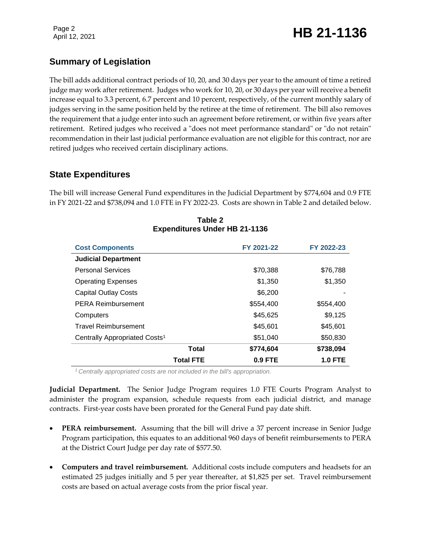### Page 2<br>April 12, 2021 **HB 21-1136**

### **Summary of Legislation**

The bill adds additional contract periods of 10, 20, and 30 days per year to the amount of time a retired judge may work after retirement. Judges who work for 10, 20, or 30 days per year will receive a benefit increase equal to 3.3 percent, 6.7 percent and 10 percent, respectively, of the current monthly salary of judges serving in the same position held by the retiree at the time of retirement. The bill also removes the requirement that a judge enter into such an agreement before retirement, or within five years after retirement. Retired judges who received a "does not meet performance standard" or "do not retain" recommendation in their last judicial performance evaluation are not eligible for this contract, nor are retired judges who received certain disciplinary actions.

### **State Expenditures**

The bill will increase General Fund expenditures in the Judicial Department by \$774,604 and 0.9 FTE in FY 2021-22 and \$738,094 and 1.0 FTE in FY 2022-23. Costs are shown in Table 2 and detailed below.

| <b>Cost Components</b>                    | FY 2021-22 | FY 2022-23 |
|-------------------------------------------|------------|------------|
| <b>Judicial Department</b>                |            |            |
| <b>Personal Services</b>                  | \$70,388   | \$76,788   |
| <b>Operating Expenses</b>                 | \$1,350    | \$1,350    |
| <b>Capital Outlay Costs</b>               | \$6,200    |            |
| <b>PERA Reimbursement</b>                 | \$554,400  | \$554,400  |
| Computers                                 | \$45,625   | \$9,125    |
| <b>Travel Reimbursement</b>               | \$45,601   | \$45,601   |
| Centrally Appropriated Costs <sup>1</sup> | \$51,040   | \$50,830   |
| Total                                     | \$774,604  | \$738,094  |
| <b>Total FTE</b>                          | $0.9$ FTE  | 1.0 FTE    |

**Table 2 Expenditures Under HB 21-1136**

*<sup>1</sup>Centrally appropriated costs are not included in the bill's appropriation.*

**Judicial Department.** The Senior Judge Program requires 1.0 FTE Courts Program Analyst to administer the program expansion, schedule requests from each judicial district, and manage contracts. First-year costs have been prorated for the General Fund pay date shift.

- **PERA reimbursement.** Assuming that the bill will drive a 37 percent increase in Senior Judge Program participation, this equates to an additional 960 days of benefit reimbursements to PERA at the District Court Judge per day rate of \$577.50.
- **Computers and travel reimbursement.** Additional costs include computers and headsets for an estimated 25 judges initially and 5 per year thereafter, at \$1,825 per set. Travel reimbursement costs are based on actual average costs from the prior fiscal year.